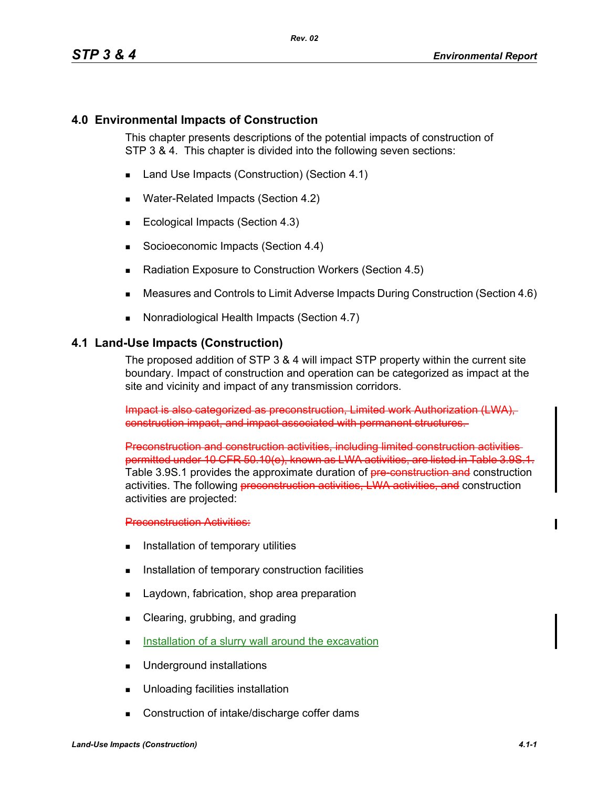### **4.0 Environmental Impacts of Construction**

This chapter presents descriptions of the potential impacts of construction of STP 3 & 4. This chapter is divided into the following seven sections:

- Land Use Impacts (Construction) (Section 4.1)
- Water-Related Impacts (Section 4.2)
- Ecological Impacts (Section 4.3)
- Socioeconomic Impacts (Section 4.4)
- Radiation Exposure to Construction Workers (Section 4.5)
- Measures and Controls to Limit Adverse Impacts During Construction (Section 4.6)
- Nonradiological Health Impacts (Section 4.7)

### **4.1 Land-Use Impacts (Construction)**

The proposed addition of STP 3 & 4 will impact STP property within the current site boundary. Impact of construction and operation can be categorized as impact at the site and vicinity and impact of any transmission corridors.

Impact is also categorized as preconstruction, Limited work Authorization (LWA), construction impact, and impact associated with permanent structures.

Preconstruction and construction activities, including limited construction activities permitted under 10 CFR 50.10(e), known as LWA activities, are listed in Table 3.9S.1. Table 3.9S.1 provides the approximate duration of pre-construction and construction activities. The following preconstruction activities, LWA activities, and construction activities are projected:

**Preconstruction Activities:** 

- **Installation of temporary utilities**
- **Installation of temporary construction facilities**
- **Laydown, fabrication, shop area preparation**
- **Example 2** Clearing, grubbing, and grading
- Installation of a slurry wall around the excavation
- **Underground installations**
- **Unloading facilities installation**
- Construction of intake/discharge coffer dams

 $\mathbf I$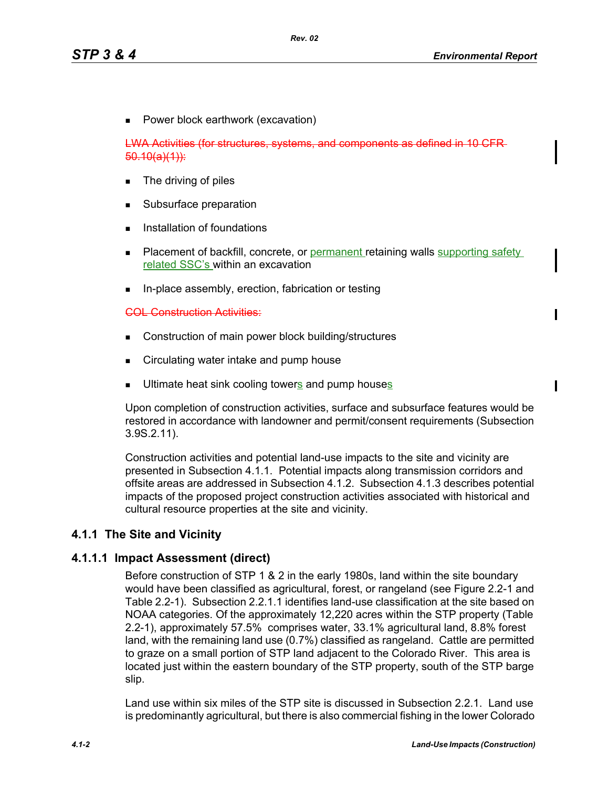**Power block earthwork (excavation)** 

LWA Activities (for structures, systems, and components as defined  $50.10(a)(1)$ :

- **The driving of piles**
- Subsurface preparation
- Installation of foundations
- Placement of backfill, concrete, or permanent retaining walls supporting safety related SSC's within an excavation
- **In-place assembly, erection, fabrication or testing**

#### COL Construction Activities:

- Construction of main power block building/structures
- **EXEDENT** Circulating water intake and pump house
- Ultimate heat sink cooling towers and pump houses

Upon completion of construction activities, surface and subsurface features would be restored in accordance with landowner and permit/consent requirements (Subsection 3.9S.2.11).

Construction activities and potential land-use impacts to the site and vicinity are presented in Subsection 4.1.1. Potential impacts along transmission corridors and offsite areas are addressed in Subsection 4.1.2. Subsection 4.1.3 describes potential impacts of the proposed project construction activities associated with historical and cultural resource properties at the site and vicinity.

### **4.1.1 The Site and Vicinity**

### **4.1.1.1 Impact Assessment (direct)**

Before construction of STP 1 & 2 in the early 1980s, land within the site boundary would have been classified as agricultural, forest, or rangeland (see Figure 2.2-1 and Table 2.2-1). Subsection 2.2.1.1 identifies land-use classification at the site based on NOAA categories. Of the approximately 12,220 acres within the STP property (Table 2.2-1), approximately 57.5% comprises water, 33.1% agricultural land, 8.8% forest land, with the remaining land use (0.7%) classified as rangeland. Cattle are permitted to graze on a small portion of STP land adjacent to the Colorado River. This area is located just within the eastern boundary of the STP property, south of the STP barge slip.

Land use within six miles of the STP site is discussed in Subsection 2.2.1. Land use is predominantly agricultural, but there is also commercial fishing in the lower Colorado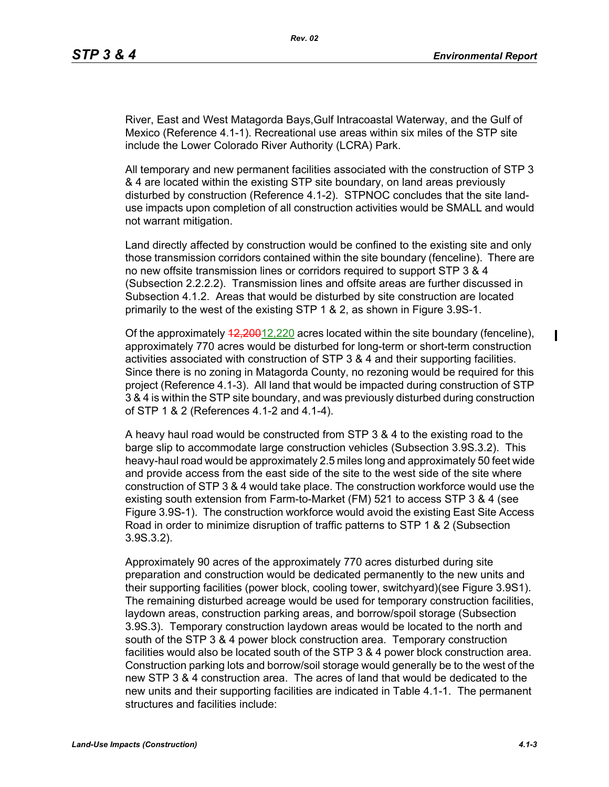River, East and West Matagorda Bays,Gulf Intracoastal Waterway, and the Gulf of Mexico (Reference 4.1-1). Recreational use areas within six miles of the STP site include the Lower Colorado River Authority (LCRA) Park.

All temporary and new permanent facilities associated with the construction of STP 3 & 4 are located within the existing STP site boundary, on land areas previously disturbed by construction (Reference 4.1-2). STPNOC concludes that the site landuse impacts upon completion of all construction activities would be SMALL and would not warrant mitigation.

Land directly affected by construction would be confined to the existing site and only those transmission corridors contained within the site boundary (fenceline). There are no new offsite transmission lines or corridors required to support STP 3 & 4 (Subsection 2.2.2.2). Transmission lines and offsite areas are further discussed in Subsection 4.1.2. Areas that would be disturbed by site construction are located primarily to the west of the existing STP 1 & 2, as shown in Figure 3.9S-1.

Of the approximately  $42,20012,220$  acres located within the site boundary (fenceline), approximately 770 acres would be disturbed for long-term or short-term construction activities associated with construction of STP 3 & 4 and their supporting facilities. Since there is no zoning in Matagorda County, no rezoning would be required for this project (Reference 4.1-3). All land that would be impacted during construction of STP 3 & 4 is within the STP site boundary, and was previously disturbed during construction of STP 1 & 2 (References 4.1-2 and 4.1-4).

A heavy haul road would be constructed from STP 3 & 4 to the existing road to the barge slip to accommodate large construction vehicles (Subsection 3.9S.3.2). This heavy-haul road would be approximately 2.5 miles long and approximately 50 feet wide and provide access from the east side of the site to the west side of the site where construction of STP 3 & 4 would take place. The construction workforce would use the existing south extension from Farm-to-Market (FM) 521 to access STP 3 & 4 (see Figure 3.9S-1). The construction workforce would avoid the existing East Site Access Road in order to minimize disruption of traffic patterns to STP 1 & 2 (Subsection 3.9S.3.2).

Approximately 90 acres of the approximately 770 acres disturbed during site preparation and construction would be dedicated permanently to the new units and their supporting facilities (power block, cooling tower, switchyard)(see Figure 3.9S1). The remaining disturbed acreage would be used for temporary construction facilities, laydown areas, construction parking areas, and borrow/spoil storage (Subsection 3.9S.3). Temporary construction laydown areas would be located to the north and south of the STP 3 & 4 power block construction area. Temporary construction facilities would also be located south of the STP 3 & 4 power block construction area. Construction parking lots and borrow/soil storage would generally be to the west of the new STP 3 & 4 construction area. The acres of land that would be dedicated to the new units and their supporting facilities are indicated in Table 4.1-1. The permanent structures and facilities include:

 $\blacksquare$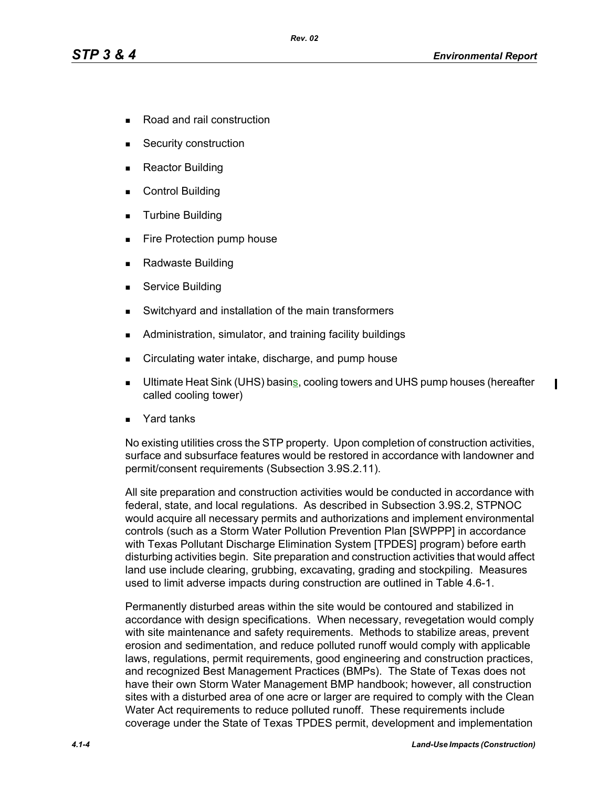- Road and rail construction
- Security construction
- Reactor Building
- Control Building
- **Turbine Building**
- **Fire Protection pump house**
- Radwaste Building
- **Service Building**
- Switchyard and installation of the main transformers
- **Administration, simulator, and training facility buildings**
- Circulating water intake, discharge, and pump house
- **Ultimate Heat Sink (UHS) basins, cooling towers and UHS pump houses (hereafter** called cooling tower)
- Yard tanks

No existing utilities cross the STP property. Upon completion of construction activities, surface and subsurface features would be restored in accordance with landowner and permit/consent requirements (Subsection 3.9S.2.11).

All site preparation and construction activities would be conducted in accordance with federal, state, and local regulations. As described in Subsection 3.9S.2, STPNOC would acquire all necessary permits and authorizations and implement environmental controls (such as a Storm Water Pollution Prevention Plan [SWPPP] in accordance with Texas Pollutant Discharge Elimination System [TPDES] program) before earth disturbing activities begin. Site preparation and construction activities that would affect land use include clearing, grubbing, excavating, grading and stockpiling. Measures used to limit adverse impacts during construction are outlined in Table 4.6-1.

Permanently disturbed areas within the site would be contoured and stabilized in accordance with design specifications. When necessary, revegetation would comply with site maintenance and safety requirements. Methods to stabilize areas, prevent erosion and sedimentation, and reduce polluted runoff would comply with applicable laws, regulations, permit requirements, good engineering and construction practices, and recognized Best Management Practices (BMPs). The State of Texas does not have their own Storm Water Management BMP handbook; however, all construction sites with a disturbed area of one acre or larger are required to comply with the Clean Water Act requirements to reduce polluted runoff. These requirements include coverage under the State of Texas TPDES permit, development and implementation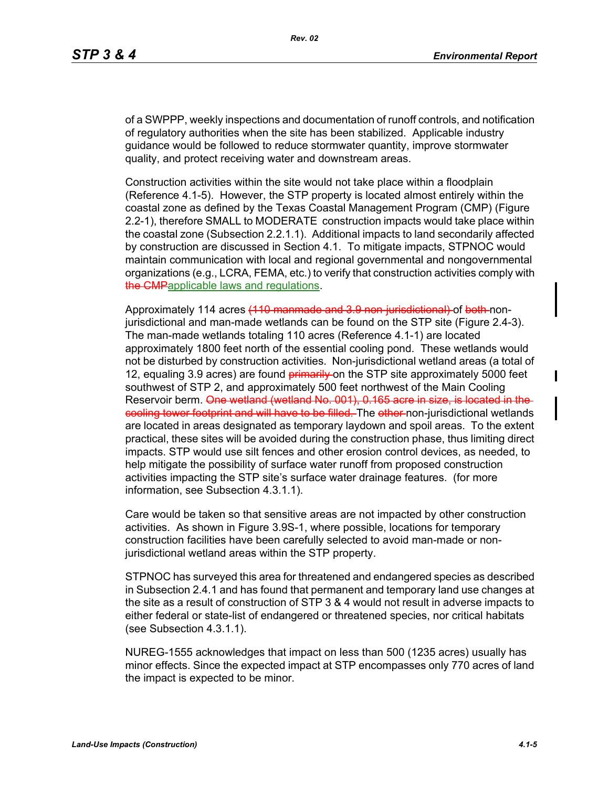of a SWPPP, weekly inspections and documentation of runoff controls, and notification of regulatory authorities when the site has been stabilized. Applicable industry guidance would be followed to reduce stormwater quantity, improve stormwater quality, and protect receiving water and downstream areas.

Construction activities within the site would not take place within a floodplain (Reference 4.1-5). However, the STP property is located almost entirely within the coastal zone as defined by the Texas Coastal Management Program (CMP) (Figure 2.2-1), therefore SMALL to MODERATE construction impacts would take place within the coastal zone (Subsection 2.2.1.1). Additional impacts to land secondarily affected by construction are discussed in Section 4.1. To mitigate impacts, STPNOC would maintain communication with local and regional governmental and nongovernmental organizations (e.g., LCRA, FEMA, etc.) to verify that construction activities comply with the **CMP**applicable laws and regulations.

Approximately 114 acres (110 manmade and 3.9 non-jurisdictional) of both-nonjurisdictional and man-made wetlands can be found on the STP site (Figure 2.4-3). The man-made wetlands totaling 110 acres (Reference 4.1-1) are located approximately 1800 feet north of the essential cooling pond. These wetlands would not be disturbed by construction activities. Non-jurisdictional wetland areas (a total of 12, equaling 3.9 acres) are found **primarily** on the STP site approximately 5000 feet southwest of STP 2, and approximately 500 feet northwest of the Main Cooling Reservoir berm. One wetland (wetland No. 001), 0.165 acre in size, is located in the eooling tower footprint and will have to be filled. The other non-jurisdictional wetlands are located in areas designated as temporary laydown and spoil areas. To the extent practical, these sites will be avoided during the construction phase, thus limiting direct impacts. STP would use silt fences and other erosion control devices, as needed, to help mitigate the possibility of surface water runoff from proposed construction activities impacting the STP site's surface water drainage features. (for more information, see Subsection 4.3.1.1).

Care would be taken so that sensitive areas are not impacted by other construction activities. As shown in Figure 3.9S-1, where possible, locations for temporary construction facilities have been carefully selected to avoid man-made or nonjurisdictional wetland areas within the STP property.

STPNOC has surveyed this area for threatened and endangered species as described in Subsection 2.4.1 and has found that permanent and temporary land use changes at the site as a result of construction of STP 3 & 4 would not result in adverse impacts to either federal or state-list of endangered or threatened species, nor critical habitats (see Subsection 4.3.1.1).

NUREG-1555 acknowledges that impact on less than 500 (1235 acres) usually has minor effects. Since the expected impact at STP encompasses only 770 acres of land the impact is expected to be minor.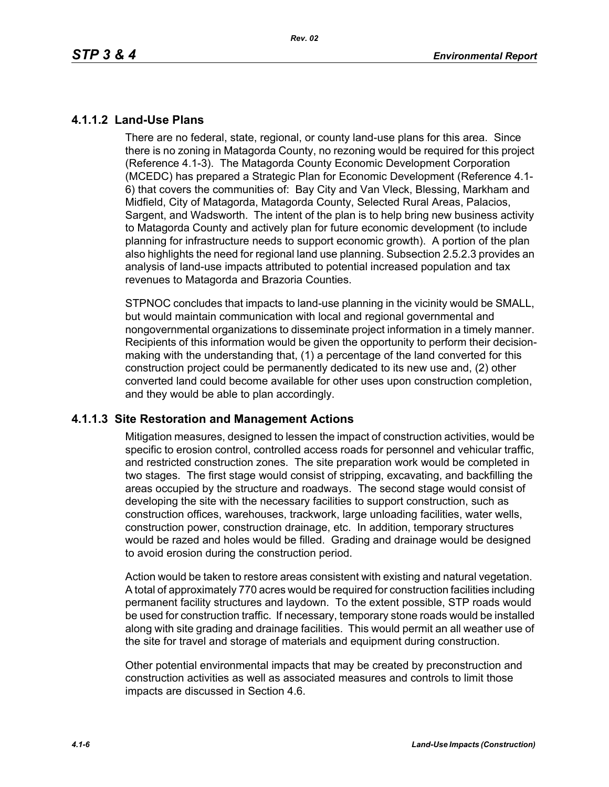### **4.1.1.2 Land-Use Plans**

There are no federal, state, regional, or county land-use plans for this area. Since there is no zoning in Matagorda County, no rezoning would be required for this project (Reference 4.1-3). The Matagorda County Economic Development Corporation (MCEDC) has prepared a Strategic Plan for Economic Development (Reference 4.1- 6) that covers the communities of: Bay City and Van Vleck, Blessing, Markham and Midfield, City of Matagorda, Matagorda County, Selected Rural Areas, Palacios, Sargent, and Wadsworth. The intent of the plan is to help bring new business activity to Matagorda County and actively plan for future economic development (to include planning for infrastructure needs to support economic growth). A portion of the plan also highlights the need for regional land use planning. Subsection 2.5.2.3 provides an analysis of land-use impacts attributed to potential increased population and tax revenues to Matagorda and Brazoria Counties.

STPNOC concludes that impacts to land-use planning in the vicinity would be SMALL, but would maintain communication with local and regional governmental and nongovernmental organizations to disseminate project information in a timely manner. Recipients of this information would be given the opportunity to perform their decisionmaking with the understanding that, (1) a percentage of the land converted for this construction project could be permanently dedicated to its new use and, (2) other converted land could become available for other uses upon construction completion, and they would be able to plan accordingly.

### **4.1.1.3 Site Restoration and Management Actions**

Mitigation measures, designed to lessen the impact of construction activities, would be specific to erosion control, controlled access roads for personnel and vehicular traffic, and restricted construction zones. The site preparation work would be completed in two stages. The first stage would consist of stripping, excavating, and backfilling the areas occupied by the structure and roadways. The second stage would consist of developing the site with the necessary facilities to support construction, such as construction offices, warehouses, trackwork, large unloading facilities, water wells, construction power, construction drainage, etc. In addition, temporary structures would be razed and holes would be filled. Grading and drainage would be designed to avoid erosion during the construction period.

Action would be taken to restore areas consistent with existing and natural vegetation. A total of approximately 770 acres would be required for construction facilities including permanent facility structures and laydown. To the extent possible, STP roads would be used for construction traffic. If necessary, temporary stone roads would be installed along with site grading and drainage facilities. This would permit an all weather use of the site for travel and storage of materials and equipment during construction.

Other potential environmental impacts that may be created by preconstruction and construction activities as well as associated measures and controls to limit those impacts are discussed in Section 4.6.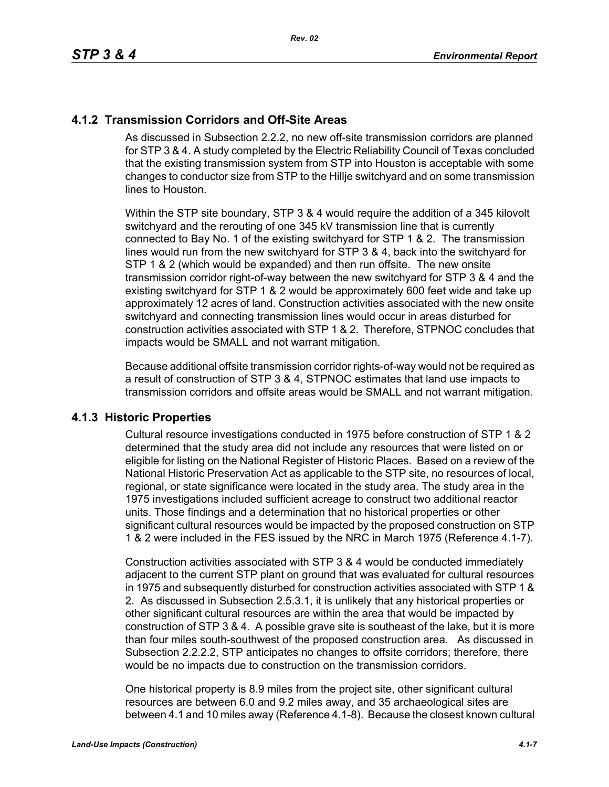## **4.1.2 Transmission Corridors and Off-Site Areas**

As discussed in Subsection 2.2.2, no new off-site transmission corridors are planned for STP 3 & 4. A study completed by the Electric Reliability Council of Texas concluded that the existing transmission system from STP into Houston is acceptable with some changes to conductor size from STP to the Hillje switchyard and on some transmission lines to Houston.

Within the STP site boundary, STP 3 & 4 would require the addition of a 345 kilovolt switchyard and the rerouting of one 345 kV transmission line that is currently connected to Bay No. 1 of the existing switchyard for STP 1 & 2. The transmission lines would run from the new switchyard for STP 3 & 4, back into the switchyard for STP 1 & 2 (which would be expanded) and then run offsite. The new onsite transmission corridor right-of-way between the new switchyard for STP 3 & 4 and the existing switchyard for STP 1 & 2 would be approximately 600 feet wide and take up approximately 12 acres of land. Construction activities associated with the new onsite switchyard and connecting transmission lines would occur in areas disturbed for construction activities associated with STP 1 & 2. Therefore, STPNOC concludes that impacts would be SMALL and not warrant mitigation.

Because additional offsite transmission corridor rights-of-way would not be required as a result of construction of STP 3 & 4, STPNOC estimates that land use impacts to transmission corridors and offsite areas would be SMALL and not warrant mitigation.

### **4.1.3 Historic Properties**

Cultural resource investigations conducted in 1975 before construction of STP 1 & 2 determined that the study area did not include any resources that were listed on or eligible for listing on the National Register of Historic Places. Based on a review of the National Historic Preservation Act as applicable to the STP site, no resources of local, regional, or state significance were located in the study area. The study area in the 1975 investigations included sufficient acreage to construct two additional reactor units. Those findings and a determination that no historical properties or other significant cultural resources would be impacted by the proposed construction on STP 1 & 2 were included in the FES issued by the NRC in March 1975 (Reference 4.1-7).

Construction activities associated with STP 3 & 4 would be conducted immediately adjacent to the current STP plant on ground that was evaluated for cultural resources in 1975 and subsequently disturbed for construction activities associated with STP 1 & 2. As discussed in Subsection 2.5.3.1, it is unlikely that any historical properties or other significant cultural resources are within the area that would be impacted by construction of STP 3 & 4. A possible grave site is southeast of the lake, but it is more than four miles south-southwest of the proposed construction area. As discussed in Subsection 2.2.2.2, STP anticipates no changes to offsite corridors; therefore, there would be no impacts due to construction on the transmission corridors.

One historical property is 8.9 miles from the project site, other significant cultural resources are between 6.0 and 9.2 miles away, and 35 archaeological sites are between 4.1 and 10 miles away (Reference 4.1-8). Because the closest known cultural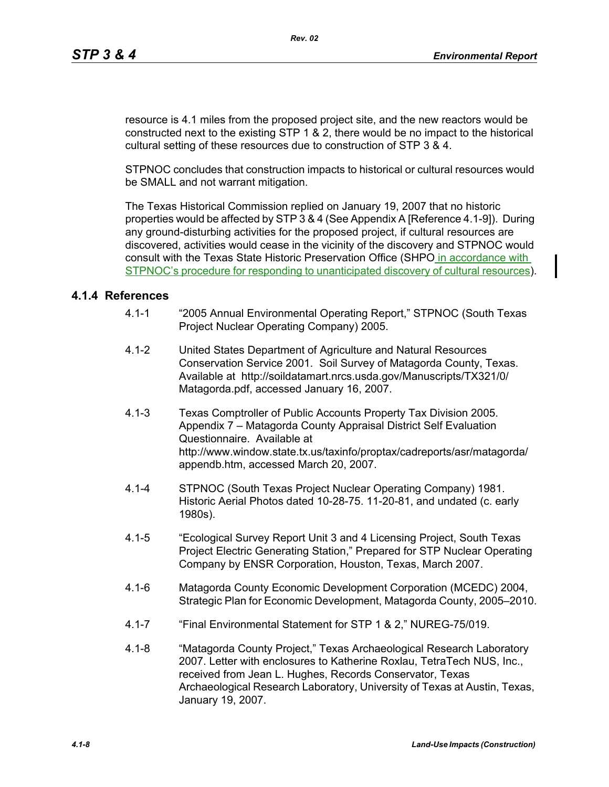resource is 4.1 miles from the proposed project site, and the new reactors would be constructed next to the existing STP 1 & 2, there would be no impact to the historical cultural setting of these resources due to construction of STP 3 & 4.

STPNOC concludes that construction impacts to historical or cultural resources would be SMALL and not warrant mitigation.

The Texas Historical Commission replied on January 19, 2007 that no historic properties would be affected by STP 3 & 4 (See Appendix A [Reference 4.1-9]). During any ground-disturbing activities for the proposed project, if cultural resources are discovered, activities would cease in the vicinity of the discovery and STPNOC would consult with the Texas State Historic Preservation Office (SHPO in accordance with STPNOC's procedure for responding to unanticipated discovery of cultural resources).

### **4.1.4 References**

- 4.1-1 "2005 Annual Environmental Operating Report," STPNOC (South Texas Project Nuclear Operating Company) 2005.
- 4.1-2 United States Department of Agriculture and Natural Resources Conservation Service 2001. Soil Survey of Matagorda County, Texas. Available at http://soildatamart.nrcs.usda.gov/Manuscripts/TX321/0/ Matagorda.pdf, accessed January 16, 2007.
- 4.1-3 Texas Comptroller of Public Accounts Property Tax Division 2005. Appendix 7 – Matagorda County Appraisal District Self Evaluation Questionnaire. Available at http://www.window.state.tx.us/taxinfo/proptax/cadreports/asr/matagorda/ appendb.htm, accessed March 20, 2007.
- 4.1-4 STPNOC (South Texas Project Nuclear Operating Company) 1981. Historic Aerial Photos dated 10-28-75. 11-20-81, and undated (c. early 1980s).
- 4.1-5 "Ecological Survey Report Unit 3 and 4 Licensing Project, South Texas Project Electric Generating Station," Prepared for STP Nuclear Operating Company by ENSR Corporation, Houston, Texas, March 2007.
- 4.1-6 Matagorda County Economic Development Corporation (MCEDC) 2004, Strategic Plan for Economic Development, Matagorda County, 2005–2010.
- 4.1-7 "Final Environmental Statement for STP 1 & 2," NUREG-75/019.
- 4.1-8 "Matagorda County Project," Texas Archaeological Research Laboratory 2007. Letter with enclosures to Katherine Roxlau, TetraTech NUS, Inc., received from Jean L. Hughes, Records Conservator, Texas Archaeological Research Laboratory, University of Texas at Austin, Texas, January 19, 2007.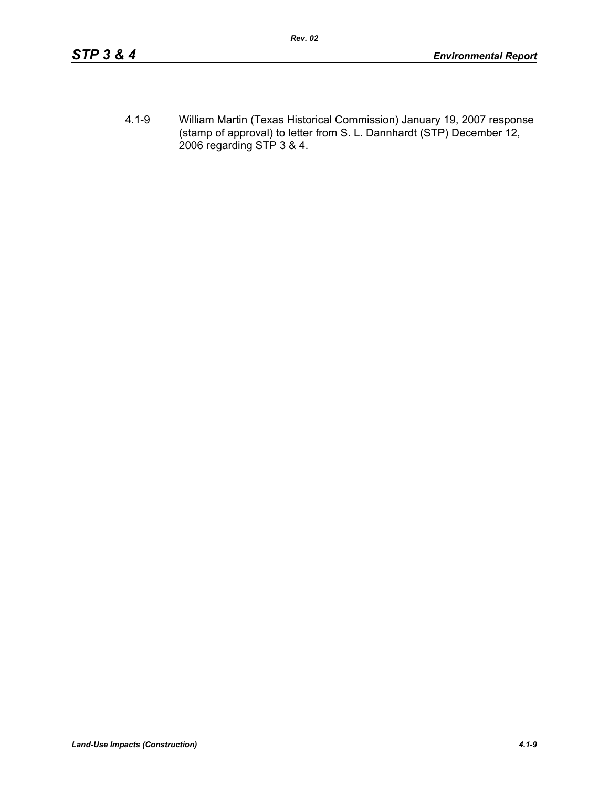4.1-9 William Martin (Texas Historical Commission) January 19, 2007 response (stamp of approval) to letter from S. L. Dannhardt (STP) December 12, 2006 regarding STP 3 & 4.